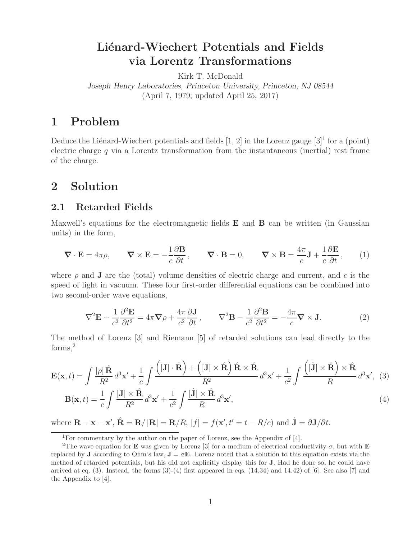# Liénard-Wiechert Potentials and Fields **via Lorentz Transformations**

Kirk T. McDonald

*Joseph Henry Laboratories, Princeton University, Princeton, NJ 08544* (April 7, 1979; updated April 25, 2017)

## **1 Problem**

Deduce the Liénard-Wiechert potentials and fields  $[1, 2]$  in the Lorenz gauge  $[3]$ <sup>1</sup> for a (point) electric charge  $q$  via a Lorentz transformation from the instantaneous (inertial) rest frame of the charge.

### **2 Solution**

#### **2.1 Retarded Fields**

Maxwell's equations for the electromagnetic fields **E** and **B** can be written (in Gaussian units) in the form,

$$
\nabla \cdot \mathbf{E} = 4\pi \rho, \qquad \nabla \times \mathbf{E} = -\frac{1}{c} \frac{\partial \mathbf{B}}{\partial t}, \qquad \nabla \cdot \mathbf{B} = 0, \qquad \nabla \times \mathbf{B} = \frac{4\pi}{c} \mathbf{J} + \frac{1}{c} \frac{\partial \mathbf{E}}{\partial t}, \qquad (1)
$$

where  $\rho$  and **J** are the (total) volume densities of electric charge and current, and c is the speed of light in vacuum. These four first-order differential equations can be combined into two second-order wave equations,

$$
\nabla^2 \mathbf{E} - \frac{1}{c^2} \frac{\partial^2 \mathbf{E}}{\partial t^2} = 4\pi \nabla \rho + \frac{4\pi}{c^2} \frac{\partial \mathbf{J}}{\partial t}, \qquad \nabla^2 \mathbf{B} - \frac{1}{c^2} \frac{\partial^2 \mathbf{B}}{\partial t^2} = -\frac{4\pi}{c} \nabla \times \mathbf{J}.
$$
 (2)

The method of Lorenz [3] and Riemann [5] of retarded solutions can lead directly to the forms,<sup>2</sup>

$$
\mathbf{E}(\mathbf{x},t) = \int \frac{[\rho]\hat{\mathbf{R}}}{R^2} d^3 \mathbf{x}' + \frac{1}{c} \int \frac{([\mathbf{J}] \cdot \hat{\mathbf{R}}) + ([\mathbf{J}] \times \hat{\mathbf{R}}) \hat{\mathbf{R}} \times \hat{\mathbf{R}}}{R^2} d^3 \mathbf{x}' + \frac{1}{c^2} \int \frac{([\mathbf{j}] \times \hat{\mathbf{R}}) \times \hat{\mathbf{R}}}{R} d^3 \mathbf{x}', \quad (3)
$$

$$
\mathbf{B}(\mathbf{x},t) = \frac{1}{c} \int \frac{[\mathbf{J}] \times \hat{\mathbf{R}}}{R^2} d^3 \mathbf{x}' + \frac{1}{c^2} \int \frac{[\mathbf{j}] \times \hat{\mathbf{R}}}{R} d^3 \mathbf{x}', \tag{4}
$$

where  $\mathbf{R} - \mathbf{x} - \mathbf{x}'$ ,  $\hat{\mathbf{R}} = \mathbf{R}/|\mathbf{R}| = \mathbf{R}/R$ ,  $[f] = f(\mathbf{x}', t' = t - R/c)$  and  $\dot{\mathbf{J}} = \partial \mathbf{J}/\partial t$ .

<sup>&</sup>lt;sup>1</sup>For commentary by the author on the paper of Lorenz, see the Appendix of  $[4]$ .

<sup>&</sup>lt;sup>2</sup>The wave equation for **E** was given by Lorenz [3] for a medium of electrical conductivity  $\sigma$ , but with **E** replaced by **J** according to Ohm's law,  $\mathbf{J} = \sigma \mathbf{E}$ . Lorenz noted that a solution to this equation exists via the method of retarded potentials, but his did not explicitly display this for **J**. Had he done so, he could have arrived at eq.  $(3)$ . Instead, the forms  $(3)-(4)$  first appeared in eqs.  $(14.34)$  and  $14.42$ ) of [6]. See also [7] and the Appendix to [4].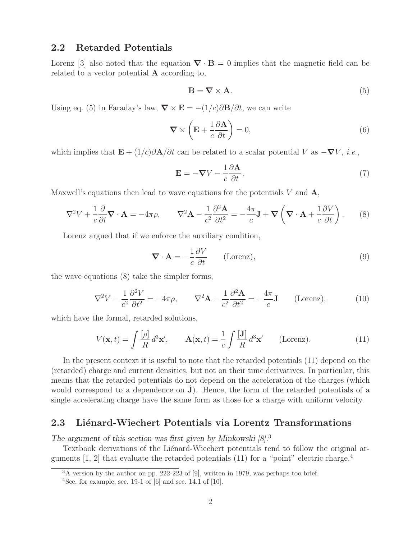### **2.2 Retarded Potentials**

Lorenz [3] also noted that the equation  $\nabla \cdot \mathbf{B} = 0$  implies that the magnetic field can be related to a vector potential **A** according to,

$$
\mathbf{B} = \nabla \times \mathbf{A}.\tag{5}
$$

Using eq. (5) in Faraday's law,  $\nabla \times \mathbf{E} = -(1/c)\partial \mathbf{B}/\partial t$ , we can write

$$
\nabla \times \left( \mathbf{E} + \frac{1}{c} \frac{\partial \mathbf{A}}{\partial t} \right) = 0, \tag{6}
$$

which implies that  $\mathbf{E} + (1/c)\partial \mathbf{A}/\partial t$  can be related to a scalar potential V as  $-\nabla V$ , *i.e.*,

$$
\mathbf{E} = -\nabla V - \frac{1}{c} \frac{\partial \mathbf{A}}{\partial t}.
$$
 (7)

Maxwell's equations then lead to wave equations for the potentials V and **A**,

$$
\nabla^2 V + \frac{1}{c} \frac{\partial}{\partial t} \mathbf{\nabla} \cdot \mathbf{A} = -4\pi \rho, \qquad \nabla^2 \mathbf{A} - \frac{1}{c^2} \frac{\partial^2 \mathbf{A}}{\partial t^2} = -\frac{4\pi}{c} \mathbf{J} + \mathbf{\nabla} \left( \mathbf{\nabla} \cdot \mathbf{A} + \frac{1}{c} \frac{\partial V}{\partial t} \right). \tag{8}
$$

Lorenz argued that if we enforce the auxiliary condition,

$$
\nabla \cdot \mathbf{A} = -\frac{1}{c} \frac{\partial V}{\partial t} \qquad \text{(Lorenz)},\tag{9}
$$

the wave equations (8) take the simpler forms,

$$
\nabla^2 V - \frac{1}{c^2} \frac{\partial^2 V}{\partial t^2} = -4\pi \rho, \qquad \nabla^2 \mathbf{A} - \frac{1}{c^2} \frac{\partial^2 \mathbf{A}}{\partial t^2} = -\frac{4\pi}{c} \mathbf{J} \qquad \text{(Lorenz)}, \tag{10}
$$

which have the formal, retarded solutions,

$$
V(\mathbf{x},t) = \int \frac{[\rho]}{R} d^3 \mathbf{x}', \qquad \mathbf{A}(\mathbf{x},t) = \frac{1}{c} \int \frac{[\mathbf{J}]}{R} d^3 \mathbf{x}' \qquad \text{(Lorenz)}.
$$
 (11)

In the present context it is useful to note that the retarded potentials (11) depend on the (retarded) charge and current densities, but not on their time derivatives. In particular, this means that the retarded potentials do not depend on the acceleration of the charges (which would correspond to a dependence on **J**). Hence, the form of the retarded potentials of a single accelerating charge have the same form as those for a charge with uniform velocity.

#### 2.3 Liénard-Wiechert Potentials via Lorentz Transformations

*The argument of this section was first given by Minkowski [8].*<sup>3</sup>

Textbook derivations of the Liénard-Wiechert potentials tend to follow the original arguments  $[1, 2]$  that evaluate the retarded potentials  $(11)$  for a "point" electric charge.<sup>4</sup>

<sup>&</sup>lt;sup>3</sup>A version by the author on pp. 222-223 of [9], written in 1979, was perhaps too brief.

<sup>&</sup>lt;sup>4</sup>See, for example, sec. 19-1 of  $[6]$  and sec. 14.1 of  $[10]$ .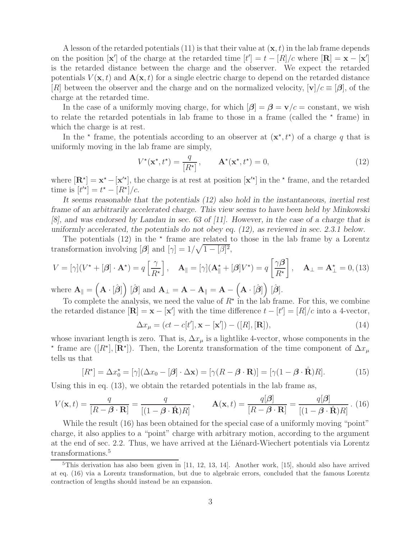A lesson of the retarded potentials  $(11)$  is that their value at  $(\mathbf{x}, t)$  in the lab frame depends on the position  $[\mathbf{x}']$  of the charge at the retarded time  $[t'] = t - [R]/c$  where  $[\mathbf{R}] = \mathbf{x} - [\mathbf{x}']$ is the retarded distance between the charge and the observer. We expect the retarded potentials  $V(\mathbf{x}, t)$  and  $\mathbf{A}(\mathbf{x}, t)$  for a single electric charge to depend on the retarded distance  $[R]$  between the observer and the charge and on the normalized velocity,  $[\mathbf{v}]/c \equiv [\boldsymbol{\beta}]$ , of the charge at the retarded time.

In the case of a uniformly moving charge, for which  $|\beta| = \beta = \mathbf{v}/c = \text{constant}$ , we wish to relate the retarded potentials in lab frame to those in a frame (called the  $*$  frame) in which the charge is at rest.

In the  $\star$  frame, the potentials according to an observer at  $(\mathbf{x}^*, t^*)$  of a charge q that is uniformly moving in the lab frame are simply,

$$
V^{\star}(\mathbf{x}^{\star},t^{\star}) = \frac{q}{[R^{\star}]}, \qquad \mathbf{A}^{\star}(\mathbf{x}^{\star},t^{\star}) = 0,
$$
\n(12)

where  $[\mathbf{R}^{\star}] = \mathbf{x}^{\star} - [\mathbf{x}^{\prime\star}],$  the charge is at rest at position  $[\mathbf{x}^{\prime\star}]$  in the  $\star$  frame, and the retarded time is  $[t'^{*}] = t^{*} - [R^{*}]/c$ .

*It seems reasonable that the potentials (12) also hold in the instantaneous, inertial rest frame of an arbitrarily accelerated charge. This view seems to have been held by Minkowski [8], and was endorsed by Landau in sec. 63 of [11]. However, in the case of a charge that is uniformly accelerated, the potentials do not obey eq. (12), as reviewed in sec. 2.3.1 below.*

The potentials  $(12)$  in the  $*$  frame are related to those in the lab frame by a Lorentz transformation involving  $[\beta]$  and  $[\gamma] = 1/\sqrt{1 - [\beta]^2}$ ,

$$
V = [\gamma](V^* + [\beta] \cdot \mathbf{A}^*) = q \left[ \frac{\gamma}{R^*} \right], \quad \mathbf{A}_{\parallel} = [\gamma](\mathbf{A}_{\parallel}^* + [\beta]V^*) = q \left[ \frac{\gamma \beta}{R^*} \right], \quad \mathbf{A}_{\perp} = \mathbf{A}_{\perp}^* = 0, \tag{13}
$$

 $\text{where } \mathbf{A}_{\parallel} = \left( \mathbf{A} \cdot [\hat{\boldsymbol{\beta}}] \right) [\hat{\boldsymbol{\beta}}] \text{ and } \mathbf{A}_{\perp} = \mathbf{A} - \mathbf{A}_{\parallel} = \mathbf{A} - \left( \mathbf{A} \cdot [\hat{\boldsymbol{\beta}}] \right) [\hat{\boldsymbol{\beta}}].$ 

To complete the analysis, we need the value of  $R^*$  in the lab frame. For this, we combine the retarded distance  $[\mathbf{R}] = \mathbf{x} - [\mathbf{x}']$  with the time difference  $t - [t'] = [R]/c$  into a 4-vector,

$$
\Delta x_{\mu} = (ct - c[t'], \mathbf{x} - [\mathbf{x}']) - ([R], [\mathbf{R}]), \tag{14}
$$

whose invariant length is zero. That is,  $\Delta x_{\mu}$  is a lightlike 4-vector, whose components in the <sup>\*</sup> frame are ([R<sup>\*</sup>], [**R**<sup>\*</sup>]). Then, the Lorentz transformation of the time component of  $\Delta x_{\mu}$ tells us that

$$
[R^*] = \Delta x_0^* = [\gamma](\Delta x_0 - [\beta] \cdot \Delta \mathbf{x}) = [\gamma (R - \beta \cdot \mathbf{R})] = [\gamma (1 - \beta \cdot \hat{\mathbf{R}}) R]. \tag{15}
$$

Using this in eq. (13), we obtain the retarded potentials in the lab frame as,

$$
V(\mathbf{x},t) = \frac{q}{[R-\beta \cdot \mathbf{R}]} = \frac{q}{[(1-\beta \cdot \hat{\mathbf{R}})R]}, \qquad \mathbf{A}(\mathbf{x},t) = \frac{q[\beta]}{[R-\beta \cdot \mathbf{R}]} = \frac{q[\beta]}{[(1-\beta \cdot \hat{\mathbf{R}})R]}.
$$
(16)

While the result (16) has been obtained for the special case of a uniformly moving "point" charge, it also applies to a "point" charge with arbitrary motion, according to the argument at the end of sec. 2.2. Thus, we have arrived at the Liénard-Wiechert potentials via Lorentz transformations.<sup>5</sup>

 $5$ This derivation has also been given in  $[11, 12, 13, 14]$ . Another work,  $[15]$ , should also have arrived at eq. (16) via a Lorentz transformation, but due to algebraic errors, concluded that the famous Lorentz contraction of lengths should instead be an expansion.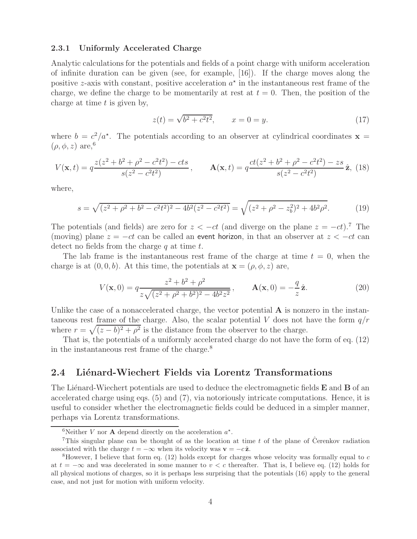#### **2.3.1 Uniformly Accelerated Charge**

Analytic calculations for the potentials and fields of a point charge with uniform acceleration of infinite duration can be given (see, for example, [16]). If the charge moves along the positive z-axis with constant, positive acceleration  $a^*$  in the instantaneous rest frame of the charge, we define the charge to be momentarily at rest at  $t = 0$ . Then, the position of the charge at time  $t$  is given by,

$$
z(t) = \sqrt{b^2 + c^2 t^2}, \qquad x = 0 = y.
$$
 (17)

where  $b = c^2/a^*$ . The potentials according to an observer at cylindrical coordinates **x** =  $(\rho, \phi, z)$  are,<sup>6</sup>

$$
V(\mathbf{x},t) = q \frac{z(z^2 + b^2 + \rho^2 - c^2 t^2) - cts}{s(z^2 - c^2 t^2)}, \qquad \mathbf{A}(\mathbf{x},t) = q \frac{ct(z^2 + b^2 + \rho^2 - c^2 t^2) - zs}{s(z^2 - c^2 t^2)} \hat{\mathbf{z}},
$$
(18)

where,

$$
s = \sqrt{(z^2 + \rho^2 + b^2 - c^2 t^2)^2 - 4b^2 (z^2 - c^2 t^2)} = \sqrt{(z^2 + \rho^2 - z_b^2)^2 + 4b^2 \rho^2}.
$$
 (19)

The potentials (and fields) are zero for  $z < -ct$  (and diverge on the plane  $z = -ct$ ).<sup>7</sup> The (moving) plane  $z = -ct$  can be called an event horizon, in that an observer at  $z < -ct$  can detect no fields from the charge  $q$  at time  $t$ .

The lab frame is the instantaneous rest frame of the charge at time  $t = 0$ , when the charge is at  $(0, 0, b)$ . At this time, the potentials at  $\mathbf{x} = (\rho, \phi, z)$  are,

$$
V(\mathbf{x},0) = q \frac{z^2 + b^2 + \rho^2}{z\sqrt{(z^2 + \rho^2 + b^2)^2 - 4b^2z^2}}, \qquad \mathbf{A}(\mathbf{x},0) = -\frac{q}{z}\hat{\mathbf{z}}.
$$
 (20)

Unlike the case of a nonaccelerated charge, the vector potential **A** is nonzero in the instantaneous rest frame of the charge. Also, the scalar potential V does not have the form  $q/r$ where  $r = \sqrt{(z - b)^2 + \rho^2}$  is the distance from the observer to the charge.

That is, the potentials of a uniformly accelerated charge do not have the form of eq. (12) in the instantaneous rest frame of the charge.<sup>8</sup>

#### 2.4 Liénard-Wiechert Fields via Lorentz Transformations

The Liénard-Wiechert potentials are used to deduce the electromagnetic fields **E** and **B** of an accelerated charge using eqs. (5) and (7), via notoriously intricate computations. Hence, it is useful to consider whether the electromagnetic fields could be deduced in a simpler manner, perhaps via Lorentz transformations.

<sup>&</sup>lt;sup>6</sup>Neither *V* nor **A** depend directly on the acceleration  $a^*$ .

<sup>&</sup>lt;sup>7</sup>This singular plane can be thought of as the location at time t of the plane of Cerenkov radiation associated with the charge  $t = -\infty$  when its velocity was  $\mathbf{v} = -c\hat{\mathbf{z}}$ .

<sup>&</sup>lt;sup>8</sup>However, I believe that form eq. (12) holds except for charges whose velocity was formally equal to  $c$ at  $t = -\infty$  and was decelerated in some manner to  $v < c$  thereafter. That is, I believe eq. (12) holds for all physical motions of charges, so it is perhaps less surprising that the potentials (16) apply to the general case, and not just for motion with uniform velocity.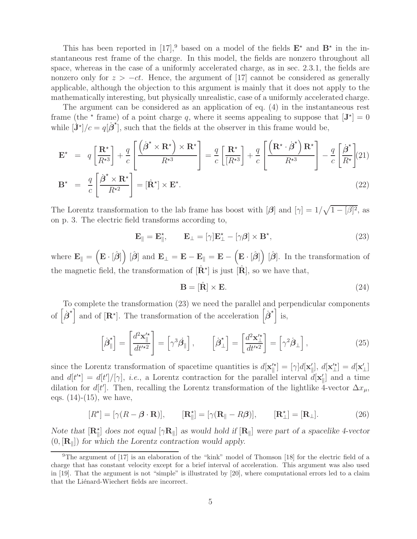This has been reported in [17],<sup>9</sup> based on a model of the fields  $\mathbf{E}^{\star}$  and  $\mathbf{B}^{\star}$  in the instantaneous rest frame of the charge. In this model, the fields are nonzero throughout all space, whereas in the case of a uniformly accelerated charge, as in sec. 2.3.1, the fields are nonzero only for  $z > -ct$ . Hence, the argument of [17] cannot be considered as generally applicable, although the objection to this argument is mainly that it does not apply to the mathematically interesting, but physically unrealistic, case of a uniformly accelerated charge.

The argument can be considered as an application of eq. (4) in the instantaneous rest frame (the  $\star$  frame) of a point charge q, where it seems appealing to suppose that  $[\mathbf{J}^{\star}] = 0$ while  $[\dot{J}^{\star}]/c = q[\dot{\boldsymbol{\beta}}^{\star}],$  such that the fields at the observer in this frame would be,

$$
\mathbf{E}^{\star} = q \left[ \frac{\mathbf{R}^{\star}}{R^{\star 3}} \right] + \frac{q}{c} \left[ \frac{\left( \dot{\boldsymbol{\beta}}^{\star} \times \mathbf{R}^{\star} \right) \times \mathbf{R}^{\star}}{R^{\star 3}} \right] = \frac{q}{c} \left[ \frac{\mathbf{R}^{\star}}{R^{\star 3}} \right] + \frac{q}{c} \left[ \frac{\left( \mathbf{R}^{\star} \cdot \dot{\boldsymbol{\beta}}^{\star} \right) \mathbf{R}^{\star}}{R^{\star 3}} \right] - \frac{q}{c} \left[ \frac{\dot{\boldsymbol{\beta}}^{\star}}{R^{\star}} \right] \tag{21}
$$
\n
$$
\mathbf{B}^{\star} = \frac{q}{c} \left[ \frac{\dot{\boldsymbol{\beta}}^{\star} \times \mathbf{R}^{\star}}{R^{\star 2}} \right] = [\hat{\mathbf{R}}^{\star}] \times \mathbf{E}^{\star}.
$$

The Lorentz transformation to the lab frame has boost with  $[\beta]$  and  $[\gamma] = 1/\sqrt{1 - [\beta]^2}$ , as on p. 3. The electric field transforms according to,

$$
\mathbf{E}_{\parallel} = \mathbf{E}_{\parallel}^{\star}, \qquad \mathbf{E}_{\perp} = [\gamma] \mathbf{E}_{\perp}^{\star} - [\gamma \beta] \times \mathbf{B}^{\star}, \tag{23}
$$

where  $\mathbf{E}_{\parallel} = \left( \mathbf{E} \cdot [\hat{\boldsymbol{\beta}}] \right) [\hat{\boldsymbol{\beta}}]$  and  $\mathbf{E}_{\perp} = \mathbf{E} - \mathbf{E}_{\parallel} = \mathbf{E} - \left( \mathbf{E} \cdot [\hat{\boldsymbol{\beta}}] \right) [\hat{\boldsymbol{\beta}}]$ . In the transformation of the magnetic field, the transformation of  $[\hat{\mathbf{R}}^{\star}]$  is just  $[\hat{\mathbf{R}}]$ , so we have that,

$$
\mathbf{B} = [\hat{\mathbf{R}}] \times \mathbf{E}.\tag{24}
$$

To complete the transformation (23) we need the parallel and perpendicular components of  $\left[\dot{\boldsymbol{\beta}}^{\star}\right]$  and of  $\left[\mathbf{R}^{\star}\right]$ . The transformation of the acceleration  $\left[\dot{\boldsymbol{\beta}}^{\star}\right]$  is,

$$
\left[\dot{\boldsymbol{\beta}}_{\parallel}^{\star}\right] = \left[\frac{d^2\mathbf{x}_{\parallel}^{\prime\star}}{dt^{\prime\star 2}}\right] = \left[\gamma^3\dot{\boldsymbol{\beta}}_{\parallel}\right], \qquad \left[\dot{\boldsymbol{\beta}}_{\perp}^{\star}\right] = \left[\frac{d^2\mathbf{x}_{\perp}^{\prime\star}}{dt^{\prime\star 2}}\right] = \left[\gamma^2\dot{\boldsymbol{\beta}}_{\perp}\right],\tag{25}
$$

since the Lorentz transformation of spacetime quantities is  $d[\mathbf{x}_{\parallel}^{\prime\star}] = [\gamma]d[\mathbf{x}_{\parallel}^{\prime}], d[\mathbf{x}_{\perp}^{\prime\star}] = d[\mathbf{x}_{\perp}^{\prime}]$ and  $d[t^{\prime*}] = d[t^{\prime}]/[\gamma]$ , *i.e.*, a Lorentz contraction for the parallel interval  $d[\mathbf{x}_{\parallel}^{\prime}]$  and a time dilation for d[t<sup>'</sup>]. Then, recalling the Lorentz transformation of the lightlike 4-vector  $\Delta x_{\mu}$ , eqs.  $(14)-(15)$ , we have,

$$
[\mathbf{R}^*] = [\gamma(\mathbf{R} - \boldsymbol{\beta} \cdot \mathbf{R})], \qquad [\mathbf{R}^*_{\parallel}] = [\gamma(\mathbf{R}_{\parallel} - \mathbf{R}\boldsymbol{\beta})], \qquad [\mathbf{R}^*_{\perp}] = [\mathbf{R}_{\perp}]. \tag{26}
$$

*Note that*  $[\mathbf{R}_{\parallel}^{\star}]$  *does not equal*  $[\gamma \mathbf{R}_{\parallel}]$  *as would hold if*  $[\mathbf{R}_{\parallel}]$  *were part of a spacelike 4-vector* (0, [**R**]) *for which the Lorentz contraction would apply.*

<sup>&</sup>lt;sup>9</sup>The argument of [17] is an elaboration of the "kink" model of Thomson [18] for the electric field of a charge that has constant velocity except for a brief interval of acceleration. This argument was also used in [19]. That the argument is not "simple" is illustrated by [20], where computational errors led to a claim that the Liénard-Wiechert fields are incorrect.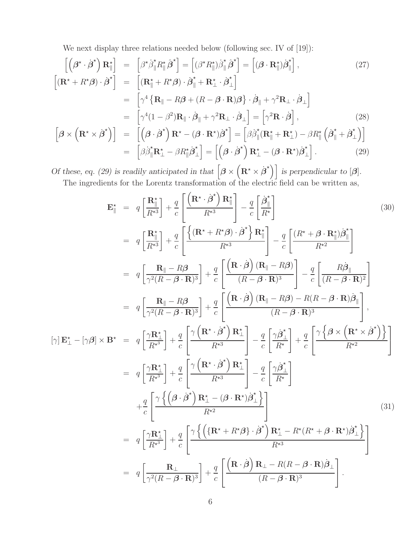We next display three relations needed below (following sec. IV of [19]):

$$
\begin{aligned}\n\left[ \left( \boldsymbol{\beta}^{\star} \cdot \dot{\boldsymbol{\beta}}^{\star} \right) \mathbf{R}_{\parallel}^{\star} \right] &= \left[ \boldsymbol{\beta}^{\star} \dot{\boldsymbol{\beta}}_{\parallel}^{\star} \mathbf{R}_{\parallel}^{\star} \hat{\boldsymbol{\beta}}^{\star} \right] = \left[ (\boldsymbol{\beta}^{\star} \mathbf{R}_{\parallel}^{\star}) \dot{\boldsymbol{\beta}}_{\parallel}^{\star} \hat{\boldsymbol{\beta}}^{\star} \right] = \left[ (\boldsymbol{\beta} \cdot \mathbf{R}_{\parallel}^{\star}) \dot{\boldsymbol{\beta}}_{\parallel}^{\star} \right],\n\end{aligned}\n\tag{27}
$$
\n
$$
\begin{aligned}\n\left[ (\mathbf{R}^{\star} + \boldsymbol{R}^{\star} \boldsymbol{\beta}) \cdot \dot{\boldsymbol{\beta}}^{\star} \right] &= \left[ (\mathbf{R}_{\parallel}^{\star} + \boldsymbol{R}^{\star} \boldsymbol{\beta}) \cdot \dot{\boldsymbol{\beta}}_{\parallel}^{\star} + \mathbf{R}_{\perp}^{\star} \cdot \dot{\boldsymbol{\beta}}_{\perp}^{\star} \right] \\
&= \left[ \gamma^{4} \left\{ \mathbf{R}_{\parallel} - \boldsymbol{R} \boldsymbol{\beta} + (\boldsymbol{R} - \boldsymbol{\beta} \cdot \mathbf{R}) \boldsymbol{\beta} \right\} \cdot \dot{\boldsymbol{\beta}}_{\parallel} + \gamma^{2} \mathbf{R}_{\perp} \cdot \dot{\boldsymbol{\beta}}_{\perp} \right] \\
&= \left[ \gamma^{4} (1 - \boldsymbol{\beta}^{2}) \mathbf{R}_{\parallel} \cdot \dot{\boldsymbol{\beta}}_{\parallel} + \gamma^{2} \mathbf{R}_{\perp} \cdot \dot{\boldsymbol{\beta}}_{\perp} \right] = \left[ \gamma^{2} \mathbf{R} \cdot \dot{\boldsymbol{\beta}} \right],\n\end{aligned}\n\tag{28}
$$
\n
$$
\begin{bmatrix} \boldsymbol{\beta} \times \left( \mathbf{R}^{\star} \times \dot{\boldsymbol{\beta}}^{\star} \right) \right] &= \left[ (\boldsymbol{\beta} \cdot \dot{\boldsymbol{\beta}}^{\star}) \mathbf{R}^{\star} - (\boldsymbol{\beta} \cdot \mathbf{R}^{\star}) \dot{\boldsymbol{\beta}}^{\star} \right] - \left[ \boldsymbol{\
$$

$$
\begin{aligned}\n\left[\boldsymbol{\beta} \times \left(\mathbf{R}^{\star} \times \dot{\boldsymbol{\beta}}^{\star}\right)\right] &= \left[\left(\boldsymbol{\beta} \cdot \dot{\boldsymbol{\beta}}^{\star}\right)\mathbf{R}^{\star} - (\boldsymbol{\beta} \cdot \mathbf{R}^{\star})\dot{\boldsymbol{\beta}}^{\star}\right] = \left[\beta\dot{\beta}_{\parallel}^{\star}(\mathbf{R}_{\parallel}^{\star} + \mathbf{R}_{\perp}^{\star}) - \beta R_{\parallel}^{\star}\left(\dot{\boldsymbol{\beta}}_{\parallel}^{\star} + \dot{\boldsymbol{\beta}}_{\perp}^{\star}\right)\right] \\
&= \left[\beta\dot{\beta}_{\parallel}^{\star}\mathbf{R}_{\perp}^{\star} - \beta R_{\parallel}^{\star}\dot{\boldsymbol{\beta}}_{\perp}^{\star}\right] = \left[\left(\boldsymbol{\beta} \cdot \dot{\boldsymbol{\beta}}^{\star}\right)\mathbf{R}_{\perp}^{\star} - (\boldsymbol{\beta} \cdot \mathbf{R}^{\star})\dot{\boldsymbol{\beta}}_{\perp}^{\star}\right].\n\end{aligned} \tag{29}
$$

*Of these, eq. (29) is readily anticipated in that*  $\left[\beta \times (\mathbf{R}^* \times \dot{\beta}^*)\right]$  *is perpendicular to*  $[\beta]$ *.* The ingredients for the Lorentz transformation of the electric field can be written as,

$$
\mathbf{E}_{\parallel}^{\ast} = q \left[ \frac{\mathbf{R}_{\parallel}^{\ast}}{R^{*3}} \right] + \frac{q}{c} \left[ \frac{\left( \mathbf{R}^{\ast} \cdot \dot{\boldsymbol{\beta}}^{\ast} \right) \mathbf{R}_{\parallel}^{\ast}}{R^{*3}} \right] - \frac{q}{c} \left[ \frac{\dot{\boldsymbol{\beta}}_{\parallel}^{\ast}}{R^{*}} \right] \qquad (30)
$$
\n
$$
= q \left[ \frac{\mathbf{R}_{\parallel}^{\ast}}{R^{*3}} \right] + \frac{q}{c} \left[ \frac{\left( (\mathbf{R}^{\ast} + R^{\ast} \boldsymbol{\beta}) \cdot \dot{\boldsymbol{\beta}}^{\ast} \right) \mathbf{R}_{\parallel}^{\ast}}{R^{*3}} \right] - \frac{q}{c} \left[ \frac{\left( (\mathbf{R}^{\ast} + \boldsymbol{\beta} \cdot \mathbf{R}_{\parallel}^{\ast}) \dot{\boldsymbol{\beta}}_{\parallel} \right)}{R^{*2}} \right]
$$
\n
$$
= q \left[ \frac{\mathbf{R}_{\parallel} - R\boldsymbol{\beta}}{\gamma^{2}(R - \boldsymbol{\beta} \cdot \mathbf{R})^{3}} \right] + \frac{q}{c} \left[ \frac{\left( \mathbf{R} \cdot \dot{\boldsymbol{\beta}} \right) (\mathbf{R}_{\parallel} - R\boldsymbol{\beta})}{(R - \boldsymbol{\beta} \cdot \mathbf{R})^{3}} \right] - \frac{q}{c} \left[ \frac{R\dot{\boldsymbol{\beta}}_{\parallel}}{(R - \boldsymbol{\beta} \cdot \mathbf{R})^{2}} \right]
$$
\n
$$
= q \left[ \frac{\mathbf{R}_{\parallel} - R\boldsymbol{\beta}}{\gamma^{2}(R - \boldsymbol{\beta} \cdot \mathbf{R})^{3}} \right] + \frac{q}{c} \left[ \frac{\left( \mathbf{R} \cdot \dot{\boldsymbol{\beta}} \right) (\mathbf{R}_{\parallel} - R\boldsymbol{\beta}) - R(R - \boldsymbol{\beta} \cdot \mathbf{R}) \dot{\boldsymbol{\beta}}_{\parallel}}{(R - \boldsymbol{\beta} \cdot \mathbf{R})^{3}} \right],
$$
\n
$$
[\gamma] \mathbf{E}_{\perp}^{\ast} - [\gamma \boldsymbol{\beta}] \times \mathbf{B}^{\ast} = q \left[ \frac{\gamma \mathbf{R}_{\perp}^{\ast}}
$$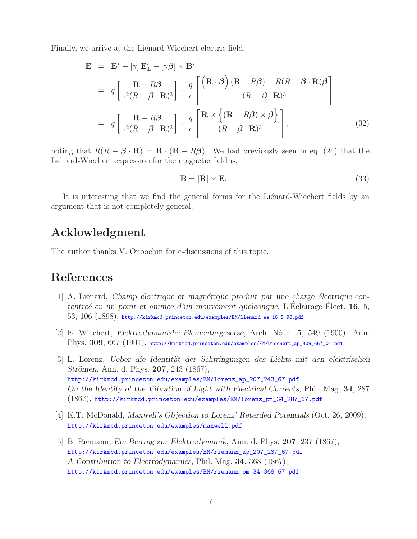Finally, we arrive at the Liénard-Wiechert electric field,

$$
\mathbf{E} = \mathbf{E}_{\parallel}^{*} + [\gamma] \mathbf{E}_{\perp}^{*} - [\gamma \beta] \times \mathbf{B}^{*}
$$
  
\n
$$
= q \left[ \frac{\mathbf{R} - R\beta}{\gamma^{2} (R - \beta \cdot \mathbf{R})^{3}} \right] + \frac{q}{c} \left[ \frac{\left( \mathbf{R} \cdot \dot{\beta} \right) (\mathbf{R} - R\beta) - R(R - \beta \cdot \mathbf{R}) \dot{\beta}}{(R - \beta \cdot \mathbf{R})^{3}} \right]
$$
  
\n
$$
= q \left[ \frac{\mathbf{R} - R\beta}{\gamma^{2} (R - \beta \cdot \mathbf{R})^{3}} \right] + \frac{q}{c} \left[ \frac{\mathbf{R} \times \left\{ (\mathbf{R} - R\beta) \times \dot{\beta} \right\}}{(R - \beta \cdot \mathbf{R})^{3}} \right],
$$
(32)

noting that  $R(R - \beta \cdot \mathbf{R}) = \mathbf{R} \cdot (\mathbf{R} - R\beta)$ . We had previously seen in eq. (24) that the Liénard-Wiechert expression for the magnetic field is,

$$
\mathbf{B} = [\hat{\mathbf{R}}] \times \mathbf{E}.\tag{33}
$$

It is interesting that we find the general forms for the Lienard-Wiechert fields by an argument that is not completely general.

### **Acklowledgment**

The author thanks V. Onoochin for e-discussions of this topic.

# **References**

- [1] A. Liénard, *Champ électrique et magnétique produit par une charge électrique contentreé en un point et animée d'un mouvement quelconque*, L'Eclairage Elect. **16**, 5,  $53, 106$   $(1898)$ , http://kirkmcd.princeton.edu/examples/EM/lienard\_ee\_16\_5\_98.pdf
- [2] E. Wiechert, *Elektrodynamishe Elementargesetze*, Arch. N´eerl. **5**, 549 (1900); Ann. Phys. **309**, 667 (1901), http://kirkmcd.princeton.edu/examples/EM/wiechert\_ap\_309\_667\_01.pdf
- [3] L. Lorenz, *Ueber die Identit¨at der Schwingungen des Lichts mit den elektrischen Strömen, Ann. d. Phys. 207, 243 (1867),* http://kirkmcd.princeton.edu/examples/EM/lorenz\_ap\_207\_243\_67.pdf *On the Identity of the Vibration of Light with Electrical Currents*, Phil. Mag. **34**, 287 (1867), http://kirkmcd.princeton.edu/examples/EM/lorenz\_pm\_34\_287\_67.pdf
- [4] K.T. McDonald, *Maxwell's Objection to Lorenz' Retarded Potentials* (Oct. 26, 2009), http://kirkmcd.princeton.edu/examples/maxwell.pdf
- [5] B. Riemann, *Ein Beitrag zur Elektrodynamik*, Ann. d. Phys. **207**, 237 (1867), http://kirkmcd.princeton.edu/examples/EM/riemann\_ap\_207\_237\_67.pdf *A Contribution to Electrodynamics*, Phil. Mag. **34**, 368 (1867), http://kirkmcd.princeton.edu/examples/EM/riemann\_pm\_34\_368\_67.pdf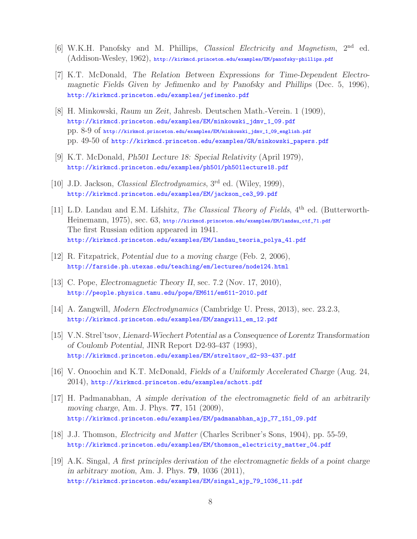- [6] W.K.H. Panofsky and M. Phillips, *Classical Electricity and Magnetism*, 2nd ed. (Addison-Wesley, 1962), http://kirkmcd.princeton.edu/examples/EM/panofsky-phillips.pdf
- [7] K.T. McDonald, *The Relation Between Expressions for Time-Dependent Electromagnetic Fields Given by Jefimenko and by Panofsky and Phillips* (Dec. 5, 1996), http://kirkmcd.princeton.edu/examples/jefimenko.pdf
- [8] H. Minkowski, *Raum un Zeit*, Jahresb. Deutschen Math.-Verein. 1 (1909), http://kirkmcd.princeton.edu/examples/EM/minkowski\_jdmv\_1\_09.pdf pp. 8-9 of http://kirkmcd.princeton.edu/examples/EM/minkowski\_jdmv\_1\_09\_english.pdf pp. 49-50 of http://kirkmcd.princeton.edu/examples/GR/minkowski\_papers.pdf
- [9] K.T. McDonald, *Ph501 Lecture 18: Special Relativity* (April 1979), http://kirkmcd.princeton.edu/examples/ph501/ph501lecture18.pdf
- [10] J.D. Jackson, *Classical Electrodynamics*, 3rd ed. (Wiley, 1999), http://kirkmcd.princeton.edu/examples/EM/jackson\_ce3\_99.pdf
- [11] L.D. Landau and E.M. Lifshitz, *The Classical Theory of Fields*, 4<sup>th</sup> ed. (Butterworth-Heinemann, 1975), sec. 63, http://kirkmcd.princeton.edu/examples/EM/landau\_ctf\_71.pdf The first Russian edition appeared in 1941. http://kirkmcd.princeton.edu/examples/EM/landau\_teoria\_polya\_41.pdf
- [12] R. Fitzpatrick, *Potential due to a moving charge* (Feb. 2, 2006), http://farside.ph.utexas.edu/teaching/em/lectures/node124.html
- [13] C. Pope, *Electromagnetic Theory II*, sec. 7.2 (Nov. 17, 2010), http://people.physics.tamu.edu/pope/EM611/em611-2010.pdf
- [14] A. Zangwill, *Modern Electrodynamics* (Cambridge U. Press, 2013), sec. 23.2.3, http://kirkmcd.princeton.edu/examples/EM/zangwill\_em\_12.pdf
- [15] V.N. Strel'tsov, *Lienard-Wiechert Potential as a Consequence of Lorentz Transformation of Coulomb Potential*, JINR Report D2-93-437 (1993), http://kirkmcd.princeton.edu/examples/EM/streltsov\_d2-93-437.pdf
- [16] V. Onoochin and K.T. McDonald, *Fields of a Uniformly Accelerated Charge* (Aug. 24, 2014), http://kirkmcd.princeton.edu/examples/schott.pdf
- [17] H. Padmanabhan, *A simple derivation of the electromagnetic field of an arbitrarily moving charge*, Am. J. Phys. **77**, 151 (2009), http://kirkmcd.princeton.edu/examples/EM/padmanabhan\_ajp\_77\_151\_09.pdf
- [18] J.J. Thomson, *Electricity and Matter* (Charles Scribner's Sons, 1904), pp. 55-59, http://kirkmcd.princeton.edu/examples/EM/thomson\_electricity\_matter\_04.pdf
- [19] A.K. Singal, *A first principles derivation of the electromagnetic fields of a point charge in arbitrary motion*, Am. J. Phys. **79**, 1036 (2011), http://kirkmcd.princeton.edu/examples/EM/singal\_ajp\_79\_1036\_11.pdf